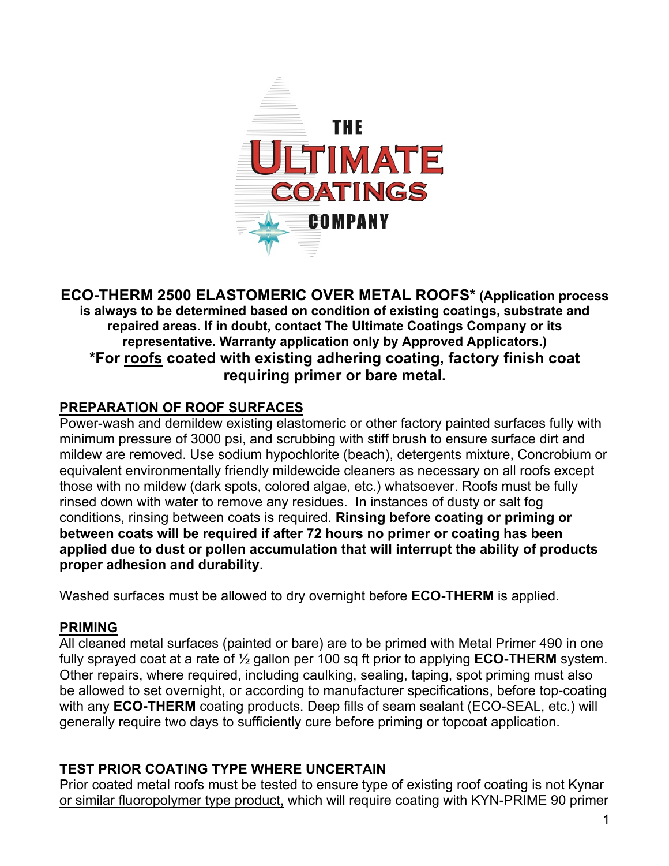

### **ECO-THERM 2500 ELASTOMERIC OVER METAL ROOFS\* (Application process is always to be determined based on condition of existing coatings, substrate and repaired areas. If in doubt, contact The Ultimate Coatings Company or its representative. Warranty application only by Approved Applicators.) \*For roofs coated with existing adhering coating, factory finish coat requiring primer or bare metal.**

## **PREPARATION OF ROOF SURFACES**

Power-wash and demildew existing elastomeric or other factory painted surfaces fully with minimum pressure of 3000 psi, and scrubbing with stiff brush to ensure surface dirt and mildew are removed. Use sodium hypochlorite (beach), detergents mixture, Concrobium or equivalent environmentally friendly mildewcide cleaners as necessary on all roofs except those with no mildew (dark spots, colored algae, etc.) whatsoever. Roofs must be fully rinsed down with water to remove any residues. In instances of dusty or salt fog conditions, rinsing between coats is required. **Rinsing before coating or priming or between coats will be required if after 72 hours no primer or coating has been applied due to dust or pollen accumulation that will interrupt the ability of products proper adhesion and durability.**

Washed surfaces must be allowed to dry overnight before **ECO-THERM** is applied.

#### **PRIMING**

All cleaned metal surfaces (painted or bare) are to be primed with Metal Primer 490 in one fully sprayed coat at a rate of ½ gallon per 100 sq ft prior to applying **ECO-THERM** system. Other repairs, where required, including caulking, sealing, taping, spot priming must also be allowed to set overnight, or according to manufacturer specifications, before top-coating with any **ECO-THERM** coating products. Deep fills of seam sealant (ECO-SEAL, etc.) will generally require two days to sufficiently cure before priming or topcoat application.

## **TEST PRIOR COATING TYPE WHERE UNCERTAIN**

Prior coated metal roofs must be tested to ensure type of existing roof coating is not Kynar or similar fluoropolymer type product, which will require coating with KYN-PRIME 90 primer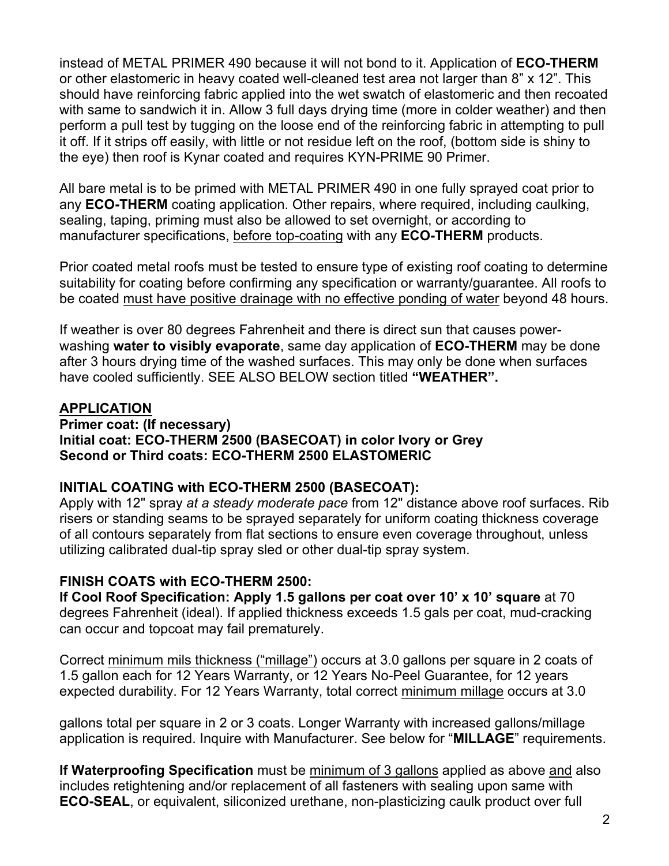instead of METAL PRIMER 490 because it will not bond to it. Application of **ECO-THERM**  or other elastomeric in heavy coated well-cleaned test area not larger than 8" x 12". This should have reinforcing fabric applied into the wet swatch of elastomeric and then recoated with same to sandwich it in. Allow 3 full days drying time (more in colder weather) and then perform a pull test by tugging on the loose end of the reinforcing fabric in attempting to pull it off. If it strips off easily, with little or not residue left on the roof, (bottom side is shiny to the eye) then roof is Kynar coated and requires KYN-PRIME 90 Primer.

All bare metal is to be primed with METAL PRIMER 490 in one fully sprayed coat prior to any **ECO-THERM** coating application. Other repairs, where required, including caulking, sealing, taping, priming must also be allowed to set overnight, or according to manufacturer specifications, before top-coating with any **ECO-THERM** products.

Prior coated metal roofs must be tested to ensure type of existing roof coating to determine suitability for coating before confirming any specification or warranty/guarantee. All roofs to be coated must have positive drainage with no effective ponding of water beyond 48 hours.

If weather is over 80 degrees Fahrenheit and there is direct sun that causes powerwashing **water to visibly evaporate**, same day application of **ECO-THERM** may be done after 3 hours drying time of the washed surfaces. This may only be done when surfaces have cooled sufficiently. SEE ALSO BELOW section titled **"WEATHER".**

### **APPLICATION**

**Primer coat: (If necessary) Initial coat: ECO-THERM 2500 (BASECOAT) in color Ivory or Grey Second or Third coats: ECO-THERM 2500 ELASTOMERIC**

#### **INITIAL COATING with ECO-THERM 2500 (BASECOAT):**

Apply with 12" spray *at a steady moderate pace* from 12" distance above roof surfaces. Rib risers or standing seams to be sprayed separately for uniform coating thickness coverage of all contours separately from flat sections to ensure even coverage throughout, unless utilizing calibrated dual-tip spray sled or other dual-tip spray system.

## **FINISH COATS with ECO-THERM 2500:**

**If Cool Roof Specification: Apply 1.5 gallons per coat over 10' x 10' square** at 70 degrees Fahrenheit (ideal). If applied thickness exceeds 1.5 gals per coat, mud-cracking can occur and topcoat may fail prematurely.

Correct minimum mils thickness ("millage") occurs at 3.0 gallons per square in 2 coats of 1.5 gallon each for 12 Years Warranty, or 12 Years No-Peel Guarantee, for 12 years expected durability. For 12 Years Warranty, total correct minimum millage occurs at 3.0

gallons total per square in 2 or 3 coats. Longer Warranty with increased gallons/millage application is required. Inquire with Manufacturer. See below for "**MILLAGE**" requirements.

**If Waterproofing Specification** must be minimum of 3 gallons applied as above and also includes retightening and/or replacement of all fasteners with sealing upon same with **ECO-SEAL**, or equivalent, siliconized urethane, non-plasticizing caulk product over full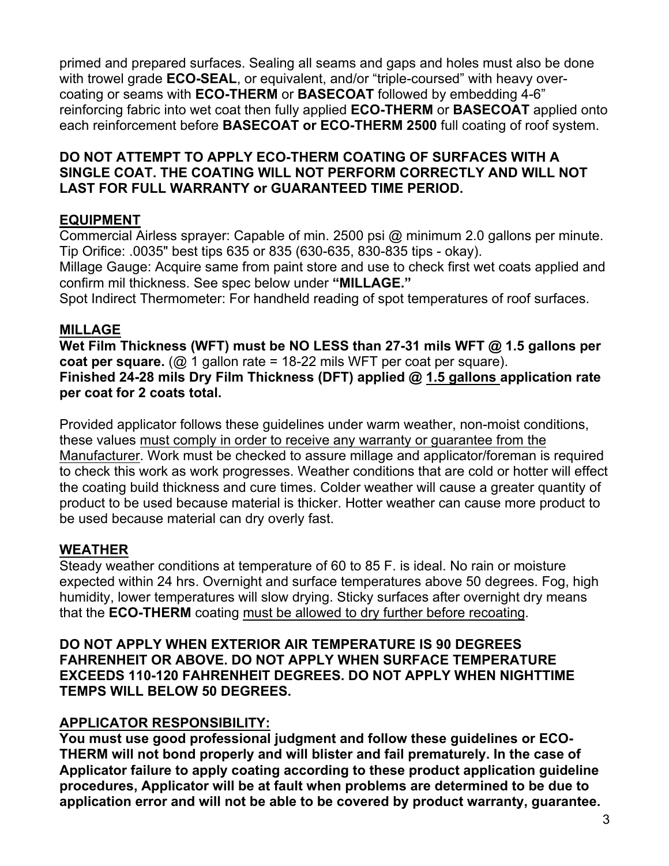primed and prepared surfaces. Sealing all seams and gaps and holes must also be done with trowel grade **ECO-SEAL**, or equivalent, and/or "triple-coursed" with heavy overcoating or seams with **ECO-THERM** or **BASECOAT** followed by embedding 4-6" reinforcing fabric into wet coat then fully applied **ECO-THERM** or **BASECOAT** applied onto each reinforcement before **BASECOAT or ECO-THERM 2500** full coating of roof system.

### **DO NOT ATTEMPT TO APPLY ECO-THERM COATING OF SURFACES WITH A SINGLE COAT. THE COATING WILL NOT PERFORM CORRECTLY AND WILL NOT LAST FOR FULL WARRANTY or GUARANTEED TIME PERIOD.**

## **EQUIPMENT**

Commercial Airless sprayer: Capable of min. 2500 psi @ minimum 2.0 gallons per minute. Tip Orifice: .0035" best tips 635 or 835 (630-635, 830-835 tips - okay). Millage Gauge: Acquire same from paint store and use to check first wet coats applied and confirm mil thickness. See spec below under **"MILLAGE."**

Spot Indirect Thermometer: For handheld reading of spot temperatures of roof surfaces.

## **MILLAGE**

**Wet Film Thickness (WFT) must be NO LESS than 27-31 mils WFT @ 1.5 gallons per coat per square.** (@ 1 gallon rate = 18-22 mils WFT per coat per square). **Finished 24-28 mils Dry Film Thickness (DFT) applied @ 1.5 gallons application rate per coat for 2 coats total.**

Provided applicator follows these guidelines under warm weather, non-moist conditions, these values must comply in order to receive any warranty or guarantee from the Manufacturer. Work must be checked to assure millage and applicator/foreman is required to check this work as work progresses. Weather conditions that are cold or hotter will effect the coating build thickness and cure times. Colder weather will cause a greater quantity of product to be used because material is thicker. Hotter weather can cause more product to be used because material can dry overly fast.

# **WEATHER**

Steady weather conditions at temperature of 60 to 85 F. is ideal. No rain or moisture expected within 24 hrs. Overnight and surface temperatures above 50 degrees. Fog, high humidity, lower temperatures will slow drying. Sticky surfaces after overnight dry means that the **ECO-THERM** coating must be allowed to dry further before recoating.

**DO NOT APPLY WHEN EXTERIOR AIR TEMPERATURE IS 90 DEGREES FAHRENHEIT OR ABOVE. DO NOT APPLY WHEN SURFACE TEMPERATURE EXCEEDS 110-120 FAHRENHEIT DEGREES. DO NOT APPLY WHEN NIGHTTIME TEMPS WILL BELOW 50 DEGREES.**

# **APPLICATOR RESPONSIBILITY:**

**You must use good professional judgment and follow these guidelines or ECO-THERM will not bond properly and will blister and fail prematurely. In the case of Applicator failure to apply coating according to these product application guideline procedures, Applicator will be at fault when problems are determined to be due to application error and will not be able to be covered by product warranty, guarantee.**